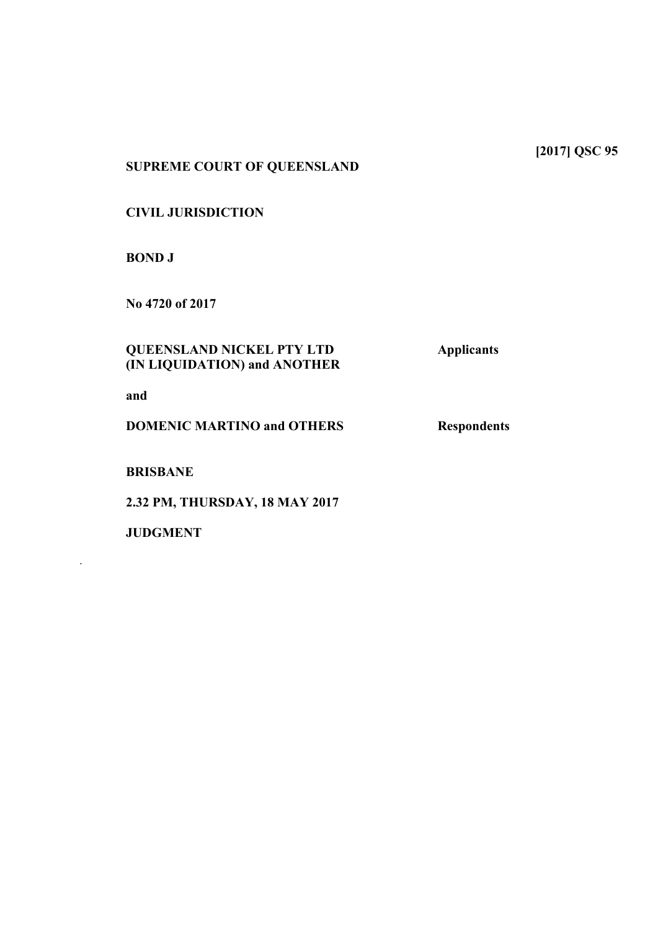**[2017] QSC 95**

# **SUPREME COURT OF QUEENSLAND**

### **CIVIL JURISDICTION**

**BOND J**

**No 4720 of 2017**

# **QUEENSLAND NICKEL PTY LTD Applicants (IN LIQUIDATION) and ANOTHER**

**and**

**DOMENIC MARTINO and OTHERS** Respondents

**BRISBANE**

**2.32 PM, THURSDAY, 18 MAY 2017**

**JUDGMENT** 

.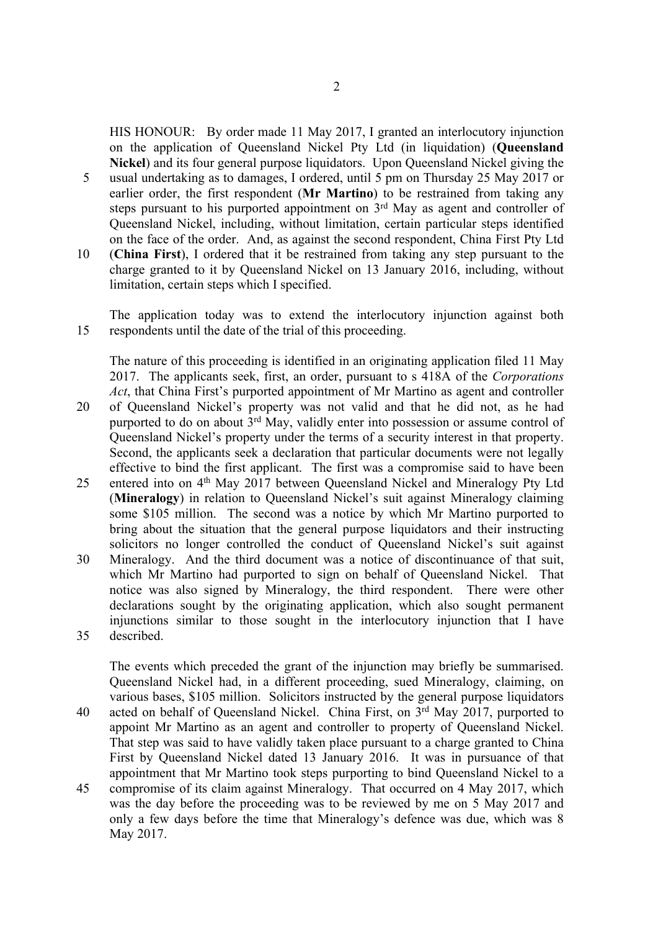HIS HONOUR: By order made 11 May 2017, I granted an interlocutory injunction on the application of Queensland Nickel Pty Ltd (in liquidation) (**Queensland Nickel**) and its four general purpose liquidators. Upon Queensland Nickel giving the

- 5 usual undertaking as to damages, I ordered, until 5 pm on Thursday 25 May 2017 or earlier order, the first respondent (**Mr Martino**) to be restrained from taking any steps pursuant to his purported appointment on  $3<sup>rd</sup>$  May as agent and controller of Queensland Nickel, including, without limitation, certain particular steps identified on the face of the order. And, as against the second respondent, China First Pty Ltd
- 10 (**China First**), I ordered that it be restrained from taking any step pursuant to the charge granted to it by Queensland Nickel on 13 January 2016, including, without limitation, certain steps which I specified.

The application today was to extend the interlocutory injunction against both 15 respondents until the date of the trial of this proceeding.

The nature of this proceeding is identified in an originating application filed 11 May 2017. The applicants seek, first, an order, pursuant to s 418A of the *Corporations Act*, that China First's purported appointment of Mr Martino as agent and controller

- 20 of Queensland Nickel's property was not valid and that he did not, as he had purported to do on about  $3<sup>rd</sup>$  May, validly enter into possession or assume control of Queensland Nickel's property under the terms of a security interest in that property. Second, the applicants seek a declaration that particular documents were not legally effective to bind the first applicant. The first was a compromise said to have been
- 25 entered into on 4<sup>th</sup> May 2017 between Queensland Nickel and Mineralogy Pty Ltd (**Mineralogy**) in relation to Queensland Nickel's suit against Mineralogy claiming some \$105 million. The second was a notice by which Mr Martino purported to bring about the situation that the general purpose liquidators and their instructing solicitors no longer controlled the conduct of Queensland Nickel's suit against
- 30 Mineralogy. And the third document was a notice of discontinuance of that suit, which Mr Martino had purported to sign on behalf of Queensland Nickel. That notice was also signed by Mineralogy, the third respondent. There were other declarations sought by the originating application, which also sought permanent injunctions similar to those sought in the interlocutory injunction that I have 35 described.

The events which preceded the grant of the injunction may briefly be summarised. Queensland Nickel had, in a different proceeding, sued Mineralogy, claiming, on various bases, \$105 million. Solicitors instructed by the general purpose liquidators 40 acted on behalf of Queensland Nickel. China First, on 3rd May 2017, purported to appoint Mr Martino as an agent and controller to property of Queensland Nickel. That step was said to have validly taken place pursuant to a charge granted to China First by Queensland Nickel dated 13 January 2016. It was in pursuance of that appointment that Mr Martino took steps purporting to bind Queensland Nickel to a

45 compromise of its claim against Mineralogy. That occurred on 4 May 2017, which was the day before the proceeding was to be reviewed by me on 5 May 2017 and only a few days before the time that Mineralogy's defence was due, which was 8 May 2017.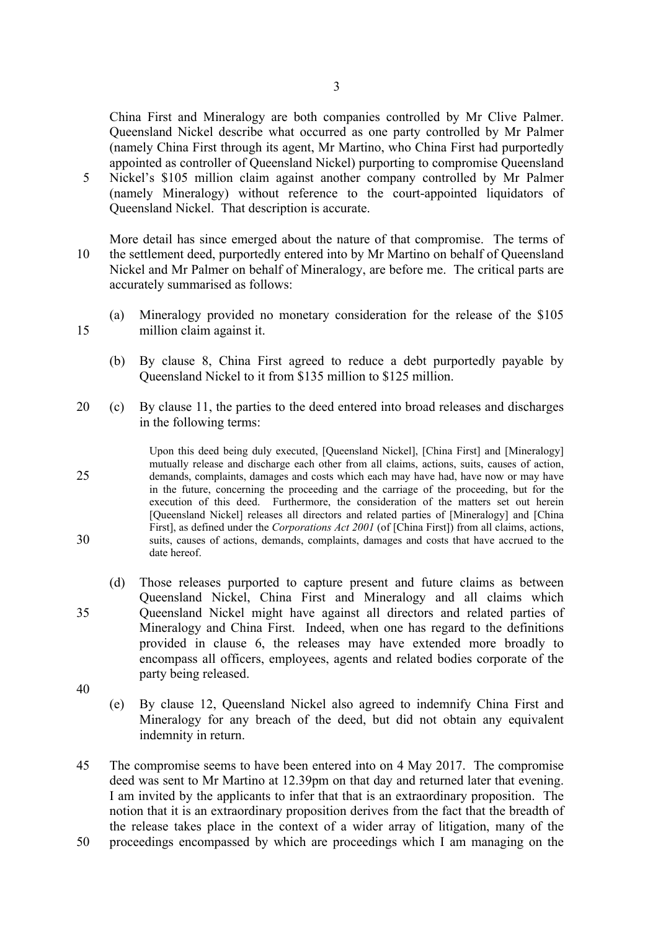China First and Mineralogy are both companies controlled by Mr Clive Palmer. Queensland Nickel describe what occurred as one party controlled by Mr Palmer (namely China First through its agent, Mr Martino, who China First had purportedly appointed as controller of Queensland Nickel) purporting to compromise Queensland

5 Nickel's \$105 million claim against another company controlled by Mr Palmer (namely Mineralogy) without reference to the court-appointed liquidators of Queensland Nickel. That description is accurate.

More detail has since emerged about the nature of that compromise. The terms of 10 the settlement deed, purportedly entered into by Mr Martino on behalf of Queensland Nickel and Mr Palmer on behalf of Mineralogy, are before me. The critical parts are accurately summarised as follows:

- (a) Mineralogy provided no monetary consideration for the release of the \$105 15 million claim against it.
	- (b) By clause 8, China First agreed to reduce a debt purportedly payable by Queensland Nickel to it from \$135 million to \$125 million.
- 20 (c) By clause 11, the parties to the deed entered into broad releases and discharges in the following terms:

Upon this deed being duly executed, [Queensland Nickel], [China First] and [Mineralogy] mutually release and discharge each other from all claims, actions, suits, causes of action, 25 demands, complaints, damages and costs which each may have had, have now or may have in the future, concerning the proceeding and the carriage of the proceeding, but for the execution of this deed. Furthermore, the consideration of the matters set out herein [Queensland Nickel] releases all directors and related parties of [Mineralogy] and [China First], as defined under the *Corporations Act 2001* (of [China First]) from all claims, actions, 30 suits, causes of actions, demands, complaints, damages and costs that have accrued to the date hereof.

(d) Those releases purported to capture present and future claims as between Queensland Nickel, China First and Mineralogy and all claims which 35 Queensland Nickel might have against all directors and related parties of Mineralogy and China First. Indeed, when one has regard to the definitions provided in clause 6, the releases may have extended more broadly to encompass all officers, employees, agents and related bodies corporate of the party being released.

- 40
- (e) By clause 12, Queensland Nickel also agreed to indemnify China First and Mineralogy for any breach of the deed, but did not obtain any equivalent indemnity in return.
- 45 The compromise seems to have been entered into on 4 May 2017. The compromise deed was sent to Mr Martino at 12.39pm on that day and returned later that evening. I am invited by the applicants to infer that that is an extraordinary proposition. The notion that it is an extraordinary proposition derives from the fact that the breadth of the release takes place in the context of a wider array of litigation, many of the
- 50 proceedings encompassed by which are proceedings which I am managing on the
- 
-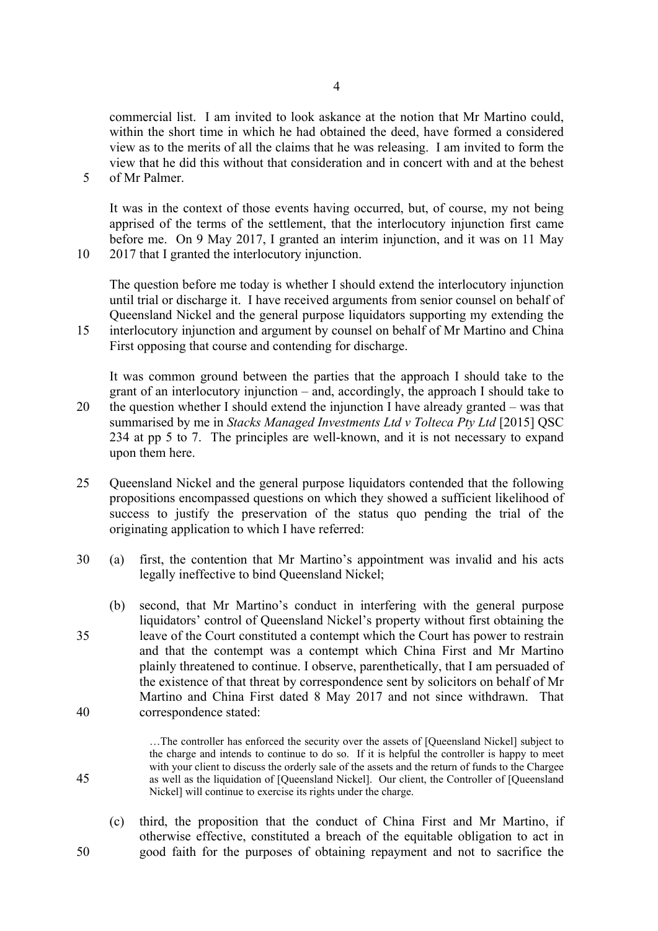commercial list. I am invited to look askance at the notion that Mr Martino could, within the short time in which he had obtained the deed, have formed a considered view as to the merits of all the claims that he was releasing. I am invited to form the view that he did this without that consideration and in concert with and at the behest 5 of Mr Palmer.

It was in the context of those events having occurred, but, of course, my not being apprised of the terms of the settlement, that the interlocutory injunction first came before me. On 9 May 2017, I granted an interim injunction, and it was on 11 May 10 2017 that I granted the interlocutory injunction.

The question before me today is whether I should extend the interlocutory injunction until trial or discharge it. I have received arguments from senior counsel on behalf of Queensland Nickel and the general purpose liquidators supporting my extending the

15 interlocutory injunction and argument by counsel on behalf of Mr Martino and China First opposing that course and contending for discharge.

It was common ground between the parties that the approach I should take to the grant of an interlocutory injunction – and, accordingly, the approach I should take to 20 the question whether I should extend the injunction I have already granted – was that summarised by me in *Stacks Managed Investments Ltd v Tolteca Pty Ltd* [2015] QSC 234 at pp 5 to 7. The principles are well-known, and it is not necessary to expand upon them here.

- 25 Queensland Nickel and the general purpose liquidators contended that the following propositions encompassed questions on which they showed a sufficient likelihood of success to justify the preservation of the status quo pending the trial of the originating application to which I have referred:
- 30 (a) first, the contention that Mr Martino's appointment was invalid and his acts legally ineffective to bind Queensland Nickel;
- (b) second, that Mr Martino's conduct in interfering with the general purpose liquidators' control of Queensland Nickel's property without first obtaining the 35 leave of the Court constituted a contempt which the Court has power to restrain and that the contempt was a contempt which China First and Mr Martino plainly threatened to continue. I observe, parenthetically, that I am persuaded of the existence of that threat by correspondence sent by solicitors on behalf of Mr Martino and China First dated 8 May 2017 and not since withdrawn. That 40 correspondence stated:

…The controller has enforced the security over the assets of [Queensland Nickel] subject to the charge and intends to continue to do so. If it is helpful the controller is happy to meet with your client to discuss the orderly sale of the assets and the return of funds to the Chargee 45 as well as the liquidation of [Queensland Nickel]. Our client, the Controller of [Queensland Nickel] will continue to exercise its rights under the charge.

(c) third, the proposition that the conduct of China First and Mr Martino, if otherwise effective, constituted a breach of the equitable obligation to act in 50 good faith for the purposes of obtaining repayment and not to sacrifice the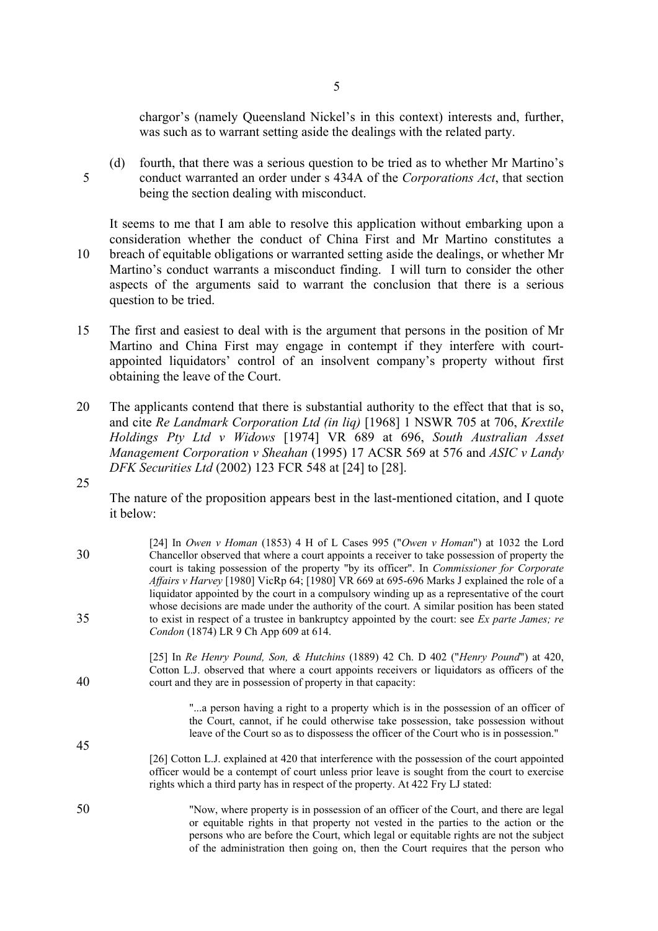chargor's (namely Queensland Nickel's in this context) interests and, further, was such as to warrant setting aside the dealings with the related party.

(d) fourth, that there was a serious question to be tried as to whether Mr Martino's 5 conduct warranted an order under s 434A of the *Corporations Act*, that section being the section dealing with misconduct.

It seems to me that I am able to resolve this application without embarking upon a consideration whether the conduct of China First and Mr Martino constitutes a 10 breach of equitable obligations or warranted setting aside the dealings, or whether Mr Martino's conduct warrants a misconduct finding. I will turn to consider the other aspects of the arguments said to warrant the conclusion that there is a serious question to be tried.

- 15 The first and easiest to deal with is the argument that persons in the position of Mr Martino and China First may engage in contempt if they interfere with courtappointed liquidators' control of an insolvent company's property without first obtaining the leave of the Court.
- 20 The applicants contend that there is substantial authority to the effect that that is so, and cite *Re Landmark Corporation Ltd (in liq)* [1968] 1 NSWR 705 at 706, *Krextile Holdings Pty Ltd v Widows* [1974] VR 689 at 696, *South Australian Asset Management Corporation v Sheahan* (1995) 17 ACSR 569 at 576 and *ASIC v Landy DFK Securities Ltd* (2002) 123 FCR 548 at [24] to [28].
- 25

The nature of the proposition appears best in the last-mentioned citation, and I quote it below:

| 30 | [24] In Owen v Homan (1853) 4 H of L Cases 995 ("Owen v Homan") at 1032 the Lord<br>Chancellor observed that where a court appoints a receiver to take possession of property the<br>court is taking possession of the property "by its officer". In <i>Commissioner for Corporate</i><br>Affairs v Harvey [1980] VicRp 64; [1980] VR 669 at 695-696 Marks J explained the role of a |
|----|--------------------------------------------------------------------------------------------------------------------------------------------------------------------------------------------------------------------------------------------------------------------------------------------------------------------------------------------------------------------------------------|
| 35 | liquidator appointed by the court in a compulsory winding up as a representative of the court<br>whose decisions are made under the authority of the court. A similar position has been stated<br>to exist in respect of a trustee in bankruptcy appointed by the court: see Ex parte James; re<br>Condon (1874) LR 9 Ch App 609 at 614.                                             |
| 40 | [25] In Re Henry Pound, Son, & Hutchins (1889) 42 Ch. D 402 ("Henry Pound") at 420,<br>Cotton L.J. observed that where a court appoints receivers or liquidators as officers of the<br>court and they are in possession of property in that capacity:                                                                                                                                |
| 45 | "a person having a right to a property which is in the possession of an officer of<br>the Court, cannot, if he could otherwise take possession, take possession without<br>leave of the Court so as to dispossess the officer of the Court who is in possession."                                                                                                                    |
|    | [26] Cotton L.J. explained at 420 that interference with the possession of the court appointed<br>officer would be a contempt of court unless prior leave is sought from the court to exercise<br>rights which a third party has in respect of the property. At 422 Fry LJ stated:                                                                                                   |
| 50 | "Now, where property is in possession of an officer of the Court, and there are legal<br>or equitable rights in that property not vested in the parties to the action or the<br>persons who are before the Court, which legal or equitable rights are not the subject                                                                                                                |

of the administration then going on, then the Court requires that the person who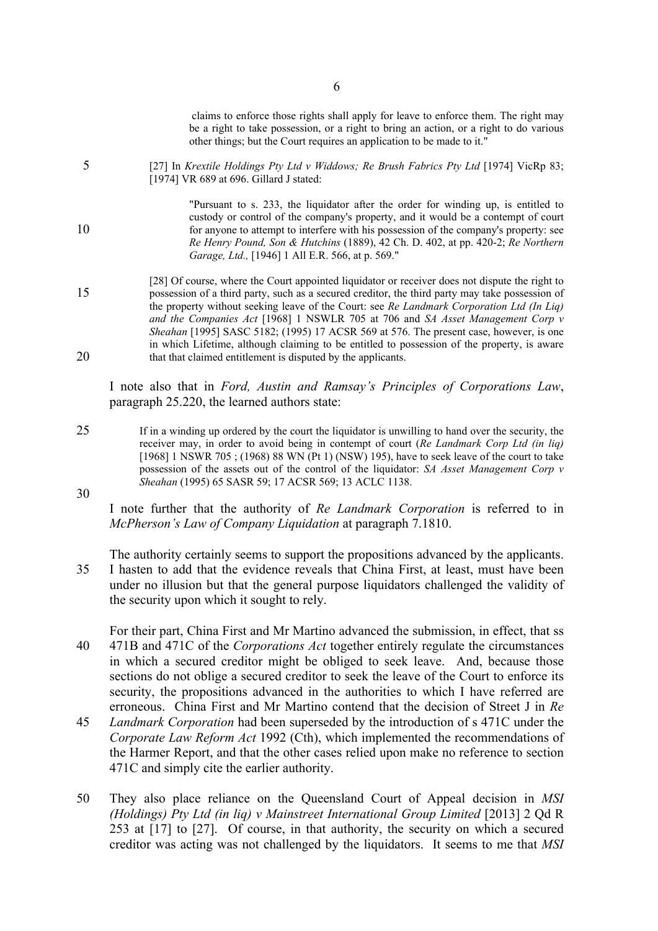claims to enforce those rights shall apply for leave to enforce them. The right may be a right to take possession, or a right to bring an action, or a right to do various other things; but the Court requires an application to be made to it."

5 [27] In *Krextile Holdings Pty Ltd v Widdows; Re Brush Fabrics Pty Ltd* [1974] VicRp 83; [1974] VR 689 at 696. Gillard J stated:

"Pursuant to s. 233, the liquidator after the order for winding up, is entitled to custody or control of the company's property, and it would be a contempt of court 10 for anyone to attempt to interfere with his possession of the company's property: see *Re Henry Pound, Son & Hutchins* (1889), 42 Ch. D. 402, at pp. 420-2; *Re Northern Garage, Ltd.,* [1946] 1 All E.R. 566, at p. 569."

[28] Of course, where the Court appointed liquidator or receiver does not dispute the right to 15 possession of a third party, such as a secured creditor, the third party may take possession of the property without seeking leave of the Court: see *Re Landmark Corporation Ltd (In Liq) and the Companies Act* [1968] 1 NSWLR 705 at 706 and *SA Asset Management Corp v Sheahan* [1995] SASC 5182; (1995) 17 ACSR 569 at 576. The present case, however, is one in which Lifetime, although claiming to be entitled to possession of the property, is aware 20 that that claimed entitlement is disputed by the applicants.

I note also that in *Ford, Austin and Ramsay's Principles of Corporations Law*, paragraph 25.220, the learned authors state:

25 If in a winding up ordered by the court the liquidator is unwilling to hand over the security, the receiver may, in order to avoid being in contempt of court (*Re Landmark Corp Ltd (in liq)* [1968] 1 NSWR 705 ; (1968) 88 WN (Pt 1) (NSW) 195), have to seek leave of the court to take possession of the assets out of the control of the liquidator: *SA Asset Management Corp v Sheahan* (1995) 65 SASR 59; 17 ACSR 569; 13 ACLC 1138.

I note further that the authority of *Re Landmark Corporation* is referred to in *McPherson's Law of Company Liquidation* at paragraph 7.1810.

The authority certainly seems to support the propositions advanced by the applicants. 35 I hasten to add that the evidence reveals that China First, at least, must have been under no illusion but that the general purpose liquidators challenged the validity of the security upon which it sought to rely.

For their part, China First and Mr Martino advanced the submission, in effect, that ss 40 471B and 471C of the *Corporations Act* together entirely regulate the circumstances in which a secured creditor might be obliged to seek leave. And, because those sections do not oblige a secured creditor to seek the leave of the Court to enforce its security, the propositions advanced in the authorities to which I have referred are erroneous. China First and Mr Martino contend that the decision of Street J in *Re* 

- 45 *Landmark Corporation* had been superseded by the introduction of s 471C under the *Corporate Law Reform Act* 1992 (Cth), which implemented the recommendations of the Harmer Report, and that the other cases relied upon make no reference to section 471C and simply cite the earlier authority.
- 50 They also place reliance on the Queensland Court of Appeal decision in *MSI (Holdings) Pty Ltd (in liq) v Mainstreet International Group Limited* [2013] 2 Qd R 253 at [17] to [27]. Of course, in that authority, the security on which a secured creditor was acting was not challenged by the liquidators. It seems to me that *MSI*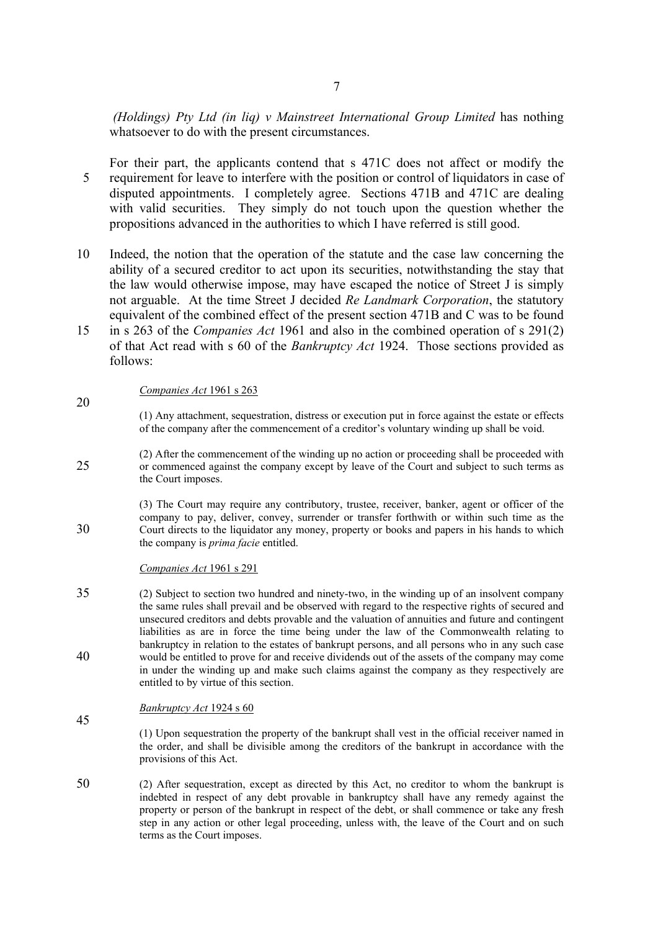*(Holdings) Pty Ltd (in liq) v Mainstreet International Group Limited* has nothing whatsoever to do with the present circumstances.

For their part, the applicants contend that s 471C does not affect or modify the 5 requirement for leave to interfere with the position or control of liquidators in case of disputed appointments. I completely agree. Sections 471B and 471C are dealing with valid securities. They simply do not touch upon the question whether the propositions advanced in the authorities to which I have referred is still good.

- 10 Indeed, the notion that the operation of the statute and the case law concerning the ability of a secured creditor to act upon its securities, notwithstanding the stay that the law would otherwise impose, may have escaped the notice of Street J is simply not arguable. At the time Street J decided *Re Landmark Corporation*, the statutory equivalent of the combined effect of the present section 471B and C was to be found
- 15 in s 263 of the *Companies Act* 1961 and also in the combined operation of s 291(2) of that Act read with s 60 of the *Bankruptcy Act* 1924. Those sections provided as follows:

### *Companies Act* 1961 s 263

20

45

(1) Any attachment, sequestration, distress or execution put in force against the estate or effects of the company after the commencement of a creditor's voluntary winding up shall be void.

(2) After the commencement of the winding up no action or proceeding shall be proceeded with 25 or commenced against the company except by leave of the Court and subject to such terms as the Court imposes.

(3) The Court may require any contributory, trustee, receiver, banker, agent or officer of the company to pay, deliver, convey, surrender or transfer forthwith or within such time as the 30 Court directs to the liquidator any money, property or books and papers in his hands to which the company is *prima facie* entitled.

#### *Companies Act* 1961 s 291

35 (2) Subject to section two hundred and ninety-two, in the winding up of an insolvent company the same rules shall prevail and be observed with regard to the respective rights of secured and unsecured creditors and debts provable and the valuation of annuities and future and contingent liabilities as are in force the time being under the law of the Commonwealth relating to bankruptcy in relation to the estates of bankrupt persons, and all persons who in any such case 40 would be entitled to prove for and receive dividends out of the assets of the company may come in under the winding up and make such claims against the company as they respectively are entitled to by virtue of this section.

### *Bankruptcy Act* 1924 s 60

- (1) Upon sequestration the property of the bankrupt shall vest in the official receiver named in the order, and shall be divisible among the creditors of the bankrupt in accordance with the provisions of this Act.
- 50 (2) After sequestration, except as directed by this Act, no creditor to whom the bankrupt is indebted in respect of any debt provable in bankruptcy shall have any remedy against the property or person of the bankrupt in respect of the debt, or shall commence or take any fresh step in any action or other legal proceeding, unless with, the leave of the Court and on such terms as the Court imposes.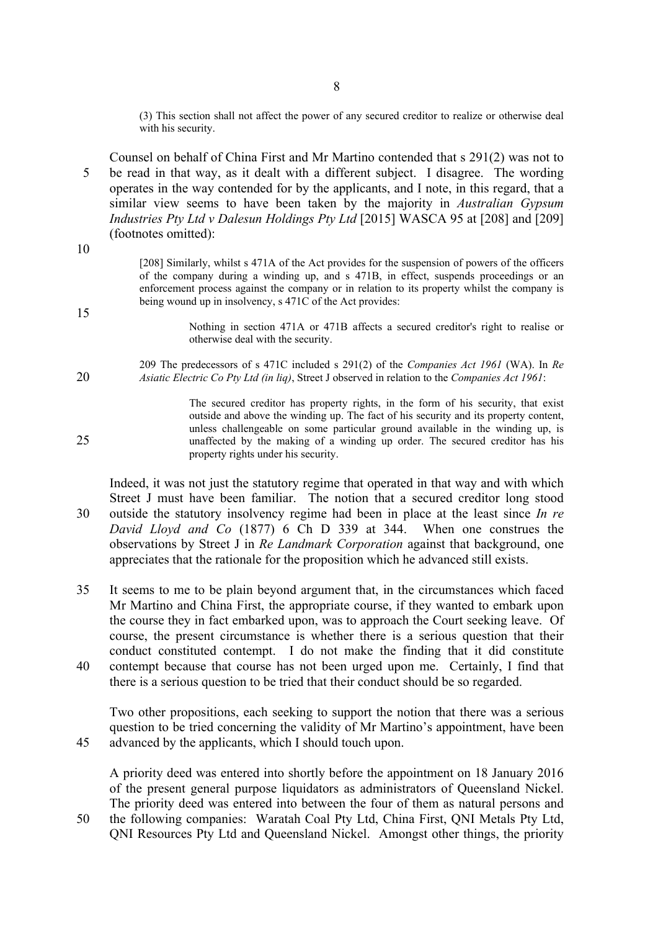(3) This section shall not affect the power of any secured creditor to realize or otherwise deal with his security.

Counsel on behalf of China First and Mr Martino contended that s 291(2) was not to 5 be read in that way, as it dealt with a different subject. I disagree. The wording operates in the way contended for by the applicants, and I note, in this regard, that a similar view seems to have been taken by the majority in *Australian Gypsum Industries Pty Ltd v Dalesun Holdings Pty Ltd* [2015] WASCA 95 at [208] and [209] (footnotes omitted):

10

15

[208] Similarly, whilst s 471A of the Act provides for the suspension of powers of the officers of the company during a winding up, and s 471B, in effect, suspends proceedings or an enforcement process against the company or in relation to its property whilst the company is being wound up in insolvency, s 471C of the Act provides:

> Nothing in section 471A or 471B affects a secured creditor's right to realise or otherwise deal with the security.

209 The predecessors of s 471C included s 291(2) of the *Companies Act 1961* (WA). In *Re*  20 *Asiatic Electric Co Pty Ltd (in liq)*, Street J observed in relation to the *Companies Act 1961*:

The secured creditor has property rights, in the form of his security, that exist outside and above the winding up. The fact of his security and its property content, unless challengeable on some particular ground available in the winding up, is 25 unaffected by the making of a winding up order. The secured creditor has his property rights under his security.

Indeed, it was not just the statutory regime that operated in that way and with which Street J must have been familiar. The notion that a secured creditor long stood 30 outside the statutory insolvency regime had been in place at the least since *In re David Lloyd and Co* (1877) 6 Ch D 339 at 344. When one construes the observations by Street J in *Re Landmark Corporation* against that background, one appreciates that the rationale for the proposition which he advanced still exists.

35 It seems to me to be plain beyond argument that, in the circumstances which faced Mr Martino and China First, the appropriate course, if they wanted to embark upon the course they in fact embarked upon, was to approach the Court seeking leave. Of course, the present circumstance is whether there is a serious question that their conduct constituted contempt. I do not make the finding that it did constitute 40 contempt because that course has not been urged upon me. Certainly, I find that

there is a serious question to be tried that their conduct should be so regarded.

Two other propositions, each seeking to support the notion that there was a serious question to be tried concerning the validity of Mr Martino's appointment, have been 45 advanced by the applicants, which I should touch upon.

A priority deed was entered into shortly before the appointment on 18 January 2016 of the present general purpose liquidators as administrators of Queensland Nickel. The priority deed was entered into between the four of them as natural persons and 50 the following companies: Waratah Coal Pty Ltd, China First, QNI Metals Pty Ltd, QNI Resources Pty Ltd and Queensland Nickel. Amongst other things, the priority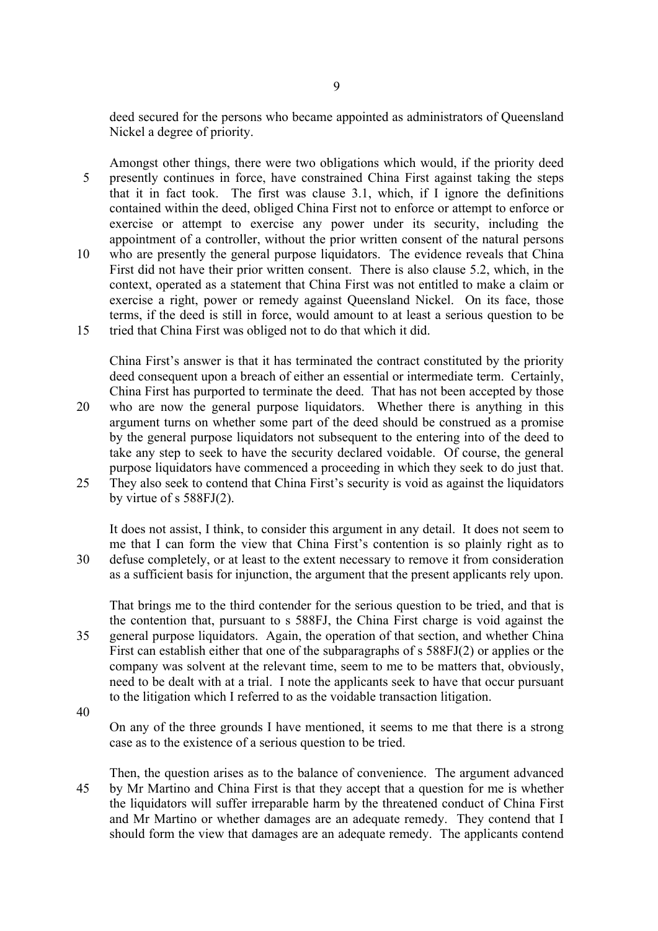deed secured for the persons who became appointed as administrators of Queensland Nickel a degree of priority.

Amongst other things, there were two obligations which would, if the priority deed 5 presently continues in force, have constrained China First against taking the steps that it in fact took. The first was clause 3.1, which, if I ignore the definitions contained within the deed, obliged China First not to enforce or attempt to enforce or exercise or attempt to exercise any power under its security, including the appointment of a controller, without the prior written consent of the natural persons 10 who are presently the general purpose liquidators. The evidence reveals that China

First did not have their prior written consent. There is also clause 5.2, which, in the context, operated as a statement that China First was not entitled to make a claim or exercise a right, power or remedy against Queensland Nickel. On its face, those terms, if the deed is still in force, would amount to at least a serious question to be 15 tried that China First was obliged not to do that which it did.

China First's answer is that it has terminated the contract constituted by the priority deed consequent upon a breach of either an essential or intermediate term. Certainly, China First has purported to terminate the deed. That has not been accepted by those

- 20 who are now the general purpose liquidators. Whether there is anything in this argument turns on whether some part of the deed should be construed as a promise by the general purpose liquidators not subsequent to the entering into of the deed to take any step to seek to have the security declared voidable. Of course, the general purpose liquidators have commenced a proceeding in which they seek to do just that.
- 25 They also seek to contend that China First's security is void as against the liquidators by virtue of s 588FJ(2).

It does not assist, I think, to consider this argument in any detail. It does not seem to me that I can form the view that China First's contention is so plainly right as to 30 defuse completely, or at least to the extent necessary to remove it from consideration as a sufficient basis for injunction, the argument that the present applicants rely upon.

That brings me to the third contender for the serious question to be tried, and that is the contention that, pursuant to s 588FJ, the China First charge is void against the 35 general purpose liquidators. Again, the operation of that section, and whether China First can establish either that one of the subparagraphs of s 588FJ(2) or applies or the company was solvent at the relevant time, seem to me to be matters that, obviously, need to be dealt with at a trial. I note the applicants seek to have that occur pursuant to the litigation which I referred to as the voidable transaction litigation.

40

On any of the three grounds I have mentioned, it seems to me that there is a strong case as to the existence of a serious question to be tried.

Then, the question arises as to the balance of convenience. The argument advanced 45 by Mr Martino and China First is that they accept that a question for me is whether the liquidators will suffer irreparable harm by the threatened conduct of China First and Mr Martino or whether damages are an adequate remedy. They contend that I should form the view that damages are an adequate remedy. The applicants contend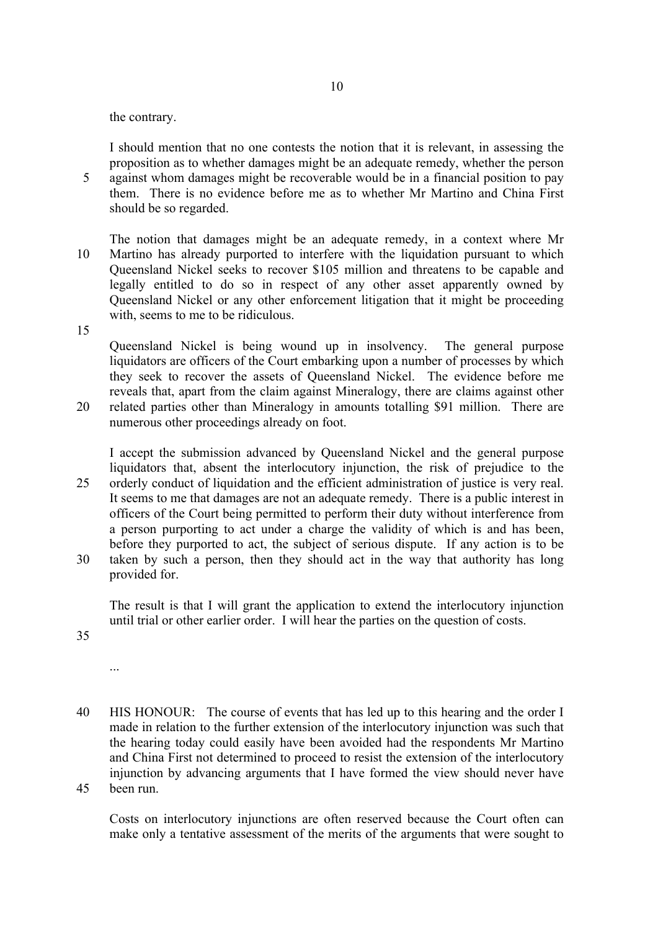the contrary.

I should mention that no one contests the notion that it is relevant, in assessing the proposition as to whether damages might be an adequate remedy, whether the person

5 against whom damages might be recoverable would be in a financial position to pay them. There is no evidence before me as to whether Mr Martino and China First should be so regarded.

The notion that damages might be an adequate remedy, in a context where Mr 10 Martino has already purported to interfere with the liquidation pursuant to which Queensland Nickel seeks to recover \$105 million and threatens to be capable and legally entitled to do so in respect of any other asset apparently owned by Queensland Nickel or any other enforcement litigation that it might be proceeding with, seems to me to be ridiculous.

15

Queensland Nickel is being wound up in insolvency. The general purpose liquidators are officers of the Court embarking upon a number of processes by which they seek to recover the assets of Queensland Nickel. The evidence before me reveals that, apart from the claim against Mineralogy, there are claims against other 20 related parties other than Mineralogy in amounts totalling \$91 million. There are

numerous other proceedings already on foot.

I accept the submission advanced by Queensland Nickel and the general purpose liquidators that, absent the interlocutory injunction, the risk of prejudice to the 25 orderly conduct of liquidation and the efficient administration of justice is very real. It seems to me that damages are not an adequate remedy. There is a public interest in officers of the Court being permitted to perform their duty without interference from a person purporting to act under a charge the validity of which is and has been, before they purported to act, the subject of serious dispute. If any action is to be 30 taken by such a person, then they should act in the way that authority has long provided for.

The result is that I will grant the application to extend the interlocutory injunction until trial or other earlier order. I will hear the parties on the question of costs.

35

...

40 HIS HONOUR: The course of events that has led up to this hearing and the order I made in relation to the further extension of the interlocutory injunction was such that the hearing today could easily have been avoided had the respondents Mr Martino and China First not determined to proceed to resist the extension of the interlocutory injunction by advancing arguments that I have formed the view should never have 45 been run.

Costs on interlocutory injunctions are often reserved because the Court often can make only a tentative assessment of the merits of the arguments that were sought to